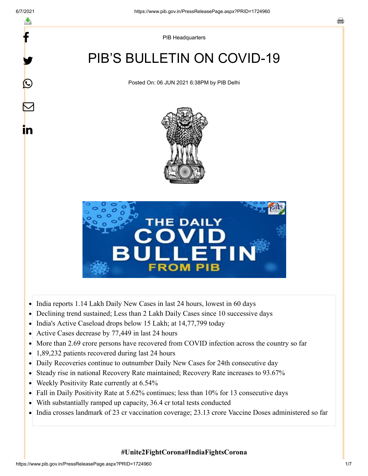f

y.

 $\boldsymbol{\mathsf{Q}}$ 

 $\bm{\nabla}$ 

in

PIB Headquarters

# PIB'S BULLETIN ON COVID-19

Posted On: 06 JUN 2021 6:38PM by PIB Delhi





- India reports 1.14 Lakh Daily New Cases in last 24 hours, lowest in 60 days  $\bullet$
- Declining trend sustained; Less than 2 Lakh Daily Cases since 10 successive days  $\bullet$
- India's Active Caseload drops below 15 Lakh; at 14,77,799 today
- Active Cases decrease by 77,449 in last 24 hours  $\bullet$
- More than 2.69 crore persons have recovered from COVID infection across the country so far  $\bullet$
- 1,89,232 patients recovered during last 24 hours  $\bullet$
- Daily Recoveries continue to outnumber Daily New Cases for 24th consecutive day
- Steady rise in national Recovery Rate maintained; Recovery Rate increases to 93.67%  $\bullet$
- Weekly Positivity Rate currently at 6.54%  $\bullet$
- Fall in Daily Positivity Rate at 5.62% continues; less than 10% for 13 consecutive days  $\bullet$
- $\bullet$ With substantially ramped up capacity, 36.4 cr total tests conducted
- India crosses landmark of 23 cr vaccination coverage; 23.13 crore Vaccine Doses administered so far

**#Unite2FightCorona#IndiaFightsCorona**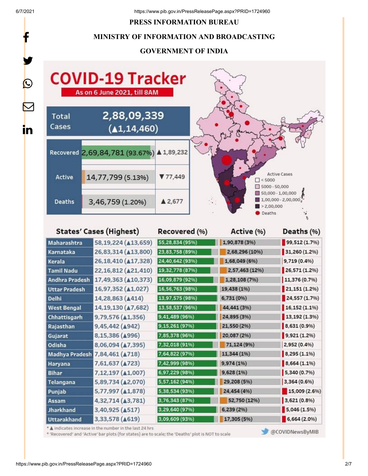f

#### **PRESS INFORMATION BUREAU**

### **MINISTRY OF INFORMATION AND BROADCASTING**

## **GOVERNMENT OF INDIA**



| States' Cases (Hignest) |                                 | Recovered (%)   | ACTIVE (%)     | Deaths (%)     |
|-------------------------|---------------------------------|-----------------|----------------|----------------|
| Maharashtra             | 58,19,224 ( $\triangle$ 13,659) | 55,28,834 (95%) | 1,90,878 (3%)  | 99,512 (1.7%)  |
| Karnataka               | 26,83,314 ( $\triangle$ 13,800) | 23,83,758 (89%) | 2,68,296 (10%) | 31,260 (1.2%)  |
| Kerala                  | 26,18,410 (417,328)             | 24,40,642 (93%) | 1,68,049 (6%)  | 9,719 (0.4%)   |
| <b>Tamil Nadu</b>       | 22,16,812 ( $\triangle$ 21,410) | 19,32,778 (87%) | 2,57,463 (12%) | 26,571 (1.2%)  |
| Andhra Pradesh          | 17,49,363 ( $\triangle$ 10,373) | 16,09,879 (92%) | 1,28,108 (7%)  | 11,376 (0.7%)  |
| <b>Uttar Pradesh</b>    | 16,97,352 (A1,027)              | 16,56,763 (98%) | 19,438 (1%)    | 21,151 (1.2%)  |
| <b>Delhi</b>            | 14,28,863 ( $\triangle$ 414)    | 13,97,575 (98%) | 6,731 (0%)     | 24,557 (1.7%)  |
| <b>West Bengal</b>      | 14,19,130 ( $\triangle$ 7,682)  | 13,58,537 (96%) | 44,441 (3%)    | 16,152(1.1%    |
| Chhattisgarh            | 9,79,576 ( $\triangle$ 1,356)   | 9,41,489 (96%)  | 24,895 (3%)    | 13,192 (1.3%)  |
| Rajasthan               | 9,45,442 (4942)                 | 9,15,261 (97%)  | 21,550 (2%)    | 8,631 (0.9%)   |
| Gujarat                 | 8,15,386 (4996)                 | 7,85,378 (96%)  | 20,087 (2%)    | 9,921(1.296)   |
| Odisha                  | 8,06,094 (47,395)               | 7,32,018 (91%)  | 71,124 (9%)    | 2,952 (0.4%)   |
| <b>Madhya Pradesh</b>   | 7,84,461 ( $\triangle$ 718)     | 7,64,822 (97%)  | 11,344 (1%)    | $8,295(1.1\%)$ |
| Haryana                 | 7,61,637 ( $\triangle$ 723)     | 7,42,999 (98%)  | 9,974 (1%)     | 8,664 (1.1%)   |
| Bihar                   | 7,12,197 ( $\triangle$ 1,007)   | 6,97,229 (98%)  | 9,628 (1%)     | 5,340 (0.7%)   |
| <b>Telangana</b>        | 5,89,734 ( $\triangle$ 2,070)   | 5,57,162 (94%)  | 29,208 (5%)    | 3,364 (0.6%)   |
| Punjab                  | 5,77,997 ( $\triangle$ 1,878)   | 5,38,534 (93%)  | 24,454 (4%)    | 15,009 (2.6%)  |
| Assam                   | 4,32,714 (43,781)               | 3,76,343 (87%)  | 52,750 (12%)   | 3,621 (0.8%)   |
| <b>Jharkhand</b>        | 3,40,925 (A517)                 | 3,29,640 (97%)  | 6,239 (2%)     | 5,046(1.5%)    |
| <b>Uttarakhand</b>      | 3,33,578 ( $\triangle$ 619)     | 3,09,609 (93%)  | 17,305 (5%)    | 6,664 (2.0%)   |
|                         |                                 |                 |                |                |

\* A indicates increase in the number in the last 24 hrs

\* 'Recovered' and 'Active' bar plots (for states) are to scale; the 'Deaths' plot is NOT to scale

@COVIDNewsByMIB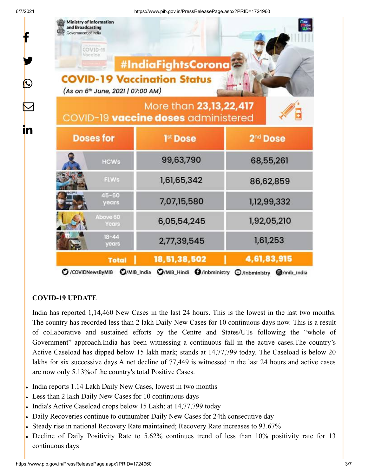f

y.

 $\bm{\mathcal{Q}}$ 

 $\bm{\nabla}$ 

in

| <b>Ministry of Information</b><br>and Broadcasting<br>Government of India<br>COVID-19<br>Vaccine<br>(As on 6th June, 2021   07:00 AM) | #IndiaFightsCorona<br><b>COVID-19 Vaccination Status</b>      | nes<br>Titos                              |  |
|---------------------------------------------------------------------------------------------------------------------------------------|---------------------------------------------------------------|-------------------------------------------|--|
|                                                                                                                                       | More than 23,13,22,417<br>COVID-19 vaccine doses administered |                                           |  |
| <b>Doses for</b>                                                                                                                      | 1 <sup>st</sup> Dose                                          | 2 <sup>nd</sup> Dose                      |  |
| <b>HCWs</b>                                                                                                                           | 99,63,790                                                     | 68,55,261                                 |  |
| FLWs                                                                                                                                  | 1,61,65,342                                                   | 86,62,859                                 |  |
| $45 - 60$<br>years                                                                                                                    | 7,07,15,580                                                   | 1,12,99,332                               |  |
| Above 60<br>Years                                                                                                                     | 6,05,54,245                                                   | 1,92,05,210                               |  |
| $18 - 44$<br>years                                                                                                                    | 2,77,39,545                                                   | 1,61,253                                  |  |
| <b>Total</b><br>O/MIB_India<br>C /COVIDNewsByMIB                                                                                      | 18,51,38,502<br>O/MIB Hindi O/inbministry                     | 4,61,83,915<br>C /inbministry @/mib india |  |

## **COVID-19 UPDATE**

India has reported 1,14,460 New Cases in the last 24 hours. This is the lowest in the last two months. The country has recorded less than 2 lakh Daily New Cases for 10 continuous days now. This is a result of collaborative and sustained efforts by the Centre and States/UTs following the "whole of Government" approach.India has been witnessing a continuous fall in the active cases.The country's Active Caseload has dipped below 15 lakh mark; stands at 14,77,799 today. The Caseload is below 20 lakhs for six successive days.A net decline of 77,449 is witnessed in the last 24 hours and active cases are now only 5.13%of the country's total Positive Cases.

- India reports 1.14 Lakh Daily New Cases, lowest in two months
- Less than 2 lakh Daily New Cases for 10 continuous days
- India's Active Caseload drops below 15 Lakh; at 14,77,799 today
- Daily Recoveries continue to outnumber Daily New Cases for 24th consecutive day
- Steady rise in national Recovery Rate maintained; Recovery Rate increases to 93.67%
- Decline of Daily Positivity Rate to 5.62% continues trend of less than 10% positivity rate for 13 continuous days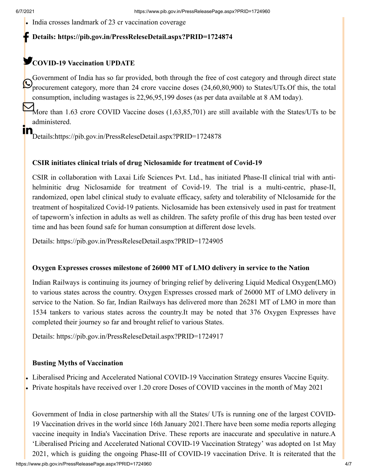India crosses landmark of 23 cr vaccination coverage

#### **Details:<https://pib.gov.in/PressReleseDetail.aspx?PRID=1724874>** f

## **COVID-19 Vaccination UPDATE**

Government of India has so far provided, both through the free of cost category and through direct state procurement category, more than 24 crore vaccine doses (24,60,80,900) to States/UTs. Of this, the total consumption, including wastages is 22,96,95,199 doses (as per data available at 8 AM today).

More than 1.63 crore COVID Vaccine doses (1,63,85,701) are still available with the States/UTs to be administered.

n<br>Details[:https://pib.gov.in/PressReleseDetail.aspx?PRID=1724878](https://pib.gov.in/PressReleseDetail.aspx?PRID=1724878)

## **CSIR initiates clinical trials of drug Niclosamide for treatment of Covid-19**

CSIR in collaboration with Laxai Life Sciences Pvt. Ltd., has initiated Phase-II clinical trial with antihelminitic drug Niclosamide for treatment of Covid-19. The trial is a multi-centric, phase-II, randomized, open label clinical study to evaluate efficacy, safety and tolerability of NIclosamide for the treatment of hospitalized Covid-19 patients. Niclosamide has been extensively used in past for treatment of tapeworm's infection in adults as well as children. The safety profile of this drug has been tested over time and has been found safe for human consumption at different dose levels.

Details:<https://pib.gov.in/PressReleseDetail.aspx?PRID=1724905>

## **Oxygen Expresses crosses milestone of 26000 MT of LMO delivery in service to the Nation**

Indian Railways is continuing its journey of bringing relief by delivering Liquid Medical Oxygen(LMO) to various states across the country. Oxygen Expresses crossed mark of 26000 MT of LMO delivery in service to the Nation. So far, Indian Railways has delivered more than 26281 MT of LMO in more than 1534 tankers to various states across the country.It may be noted that 376 Oxygen Expresses have completed their journey so far and brought relief to various States.

Details:<https://pib.gov.in/PressReleseDetail.aspx?PRID=1724917>

## **Busting Myths of Vaccination**

- Liberalised Pricing and Accelerated National COVID-19 Vaccination Strategy ensures Vaccine Equity.
- Private hospitals have received over 1.20 crore Doses of COVID vaccines in the month of May 2021

Government of India in close partnership with all the States/ UTs is running one of the largest COVID-19 Vaccination drives in the world since 16th January 2021.There have been some media reports alleging vaccine inequity in India's Vaccination Drive. These reports are inaccurate and speculative in nature.A 'Liberalised Pricing and Accelerated National COVID-19 Vaccination Strategy' was adopted on 1st May 2021, which is guiding the ongoing Phase-III of COVID-19 vaccination Drive. It is reiterated that the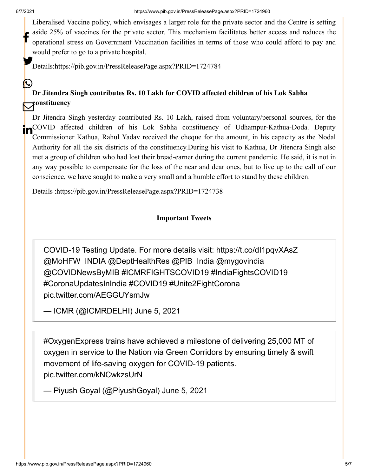(L)

Liberalised Vaccine policy, which envisages a larger role for the private sector and the Centre is setting aside 25% of vaccines for the private sector. This mechanism facilitates better access and reduces the operational stress on Government Vaccination facilities in terms of those who could afford to pay and would prefer to go to a private hospital. f

Details[:https://pib.gov.in/PressReleasePage.aspx?PRID=1724784](https://pib.gov.in/PressReleasePage.aspx?PRID=1724784)

## **Dr Jitendra Singh contributes Rs. 10 Lakh for COVID affected children of his Lok Sabha constituency**

Dr Jitendra Singh yesterday contributed Rs. 10 Lakh, raised from voluntary/personal sources, for the **In**COVID affected children of his Lok Sabha constituency of Udhampur-Kathua-Doda. Deputy Commissioner Kathua, Rahul Yadav received the cheque for the amount, in his capacity as the Nodal Authority for all the six districts of the constituency.During his visit to Kathua, Dr Jitendra Singh also met a group of children who had lost their bread-earner during the current pandemic. He said, it is not in any way possible to compensate for the loss of the near and dear ones, but to live up to the call of our conscience, we have sought to make a very small and a humble effort to stand by these children.

Details [:https://pib.gov.in/PressReleasePage.aspx?PRID=1724738](https://pib.gov.in/PressReleasePage.aspx?PRID=1724738)

## **Important Tweets**

COVID-19 Testing Update. For more details visit: <https://t.co/dI1pqvXAsZ> [@MoHFW\\_INDIA](https://twitter.com/MoHFW_INDIA?ref_src=twsrc%5Etfw) [@DeptHealthRes](https://twitter.com/DeptHealthRes?ref_src=twsrc%5Etfw) [@PIB\\_India](https://twitter.com/PIB_India?ref_src=twsrc%5Etfw) [@mygovindia](https://twitter.com/mygovindia?ref_src=twsrc%5Etfw) [@COVIDNewsByMIB](https://twitter.com/COVIDNewsByMIB?ref_src=twsrc%5Etfw) [#ICMRFIGHTSCOVID19](https://twitter.com/hashtag/ICMRFIGHTSCOVID19?src=hash&ref_src=twsrc%5Etfw) [#IndiaFightsCOVID19](https://twitter.com/hashtag/IndiaFightsCOVID19?src=hash&ref_src=twsrc%5Etfw) [#CoronaUpdatesInIndia](https://twitter.com/hashtag/CoronaUpdatesInIndia?src=hash&ref_src=twsrc%5Etfw) [#COVID19](https://twitter.com/hashtag/COVID19?src=hash&ref_src=twsrc%5Etfw) [#Unite2FightCorona](https://twitter.com/hashtag/Unite2FightCorona?src=hash&ref_src=twsrc%5Etfw) [pic.twitter.com/AEGGUYsmJw](https://t.co/AEGGUYsmJw)

— ICMR (@ICMRDELHI) [June 5, 2021](https://twitter.com/ICMRDELHI/status/1401021718865481735?ref_src=twsrc%5Etfw)

[#OxygenExpress](https://twitter.com/hashtag/OxygenExpress?src=hash&ref_src=twsrc%5Etfw) trains have achieved a milestone of delivering 25,000 MT of oxygen in service to the Nation via Green Corridors by ensuring timely & swift movement of life-saving oxygen for COVID-19 patients. [pic.twitter.com/kNCwkzsUrN](https://t.co/kNCwkzsUrN)

— Piyush Goyal (@PiyushGoyal) [June 5, 2021](https://twitter.com/PiyushGoyal/status/1401045737106935813?ref_src=twsrc%5Etfw)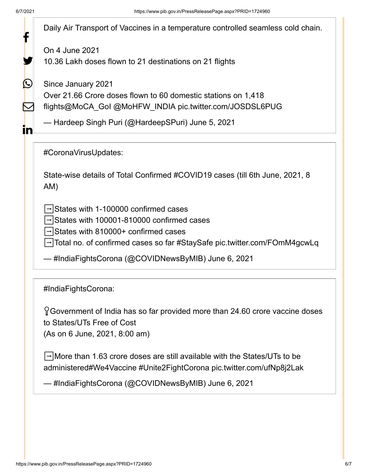|                   | Daily Air Transport of Vaccines in a temperature controlled seamless cold chain.                                                                                   |
|-------------------|--------------------------------------------------------------------------------------------------------------------------------------------------------------------|
|                   | On 4 June 2021                                                                                                                                                     |
|                   | 10.36 Lakh doses flown to 21 destinations on 21 flights                                                                                                            |
| $\bm{\mathbb{C}}$ | Since January 2021                                                                                                                                                 |
|                   | Over 21.66 Crore doses flown to 60 domestic stations on 1,418                                                                                                      |
|                   | flights@MoCA_GoI @MoHFW_INDIA pic.twitter.com/JOSDSL6PUG                                                                                                           |
| <u>in</u>         | — Hardeep Singh Puri (@HardeepSPuri) June 5, 2021                                                                                                                  |
|                   | #CoronaVirusUpdates:                                                                                                                                               |
|                   | State-wise details of Total Confirmed #COVID19 cases (till 6th June, 2021, 8<br>AM)                                                                                |
|                   | $\rightarrow$ States with 1-100000 confirmed cases<br>$\rightarrow$ States with 100001-810000 confirmed cases<br>$\rightarrow$ States with 810000+ confirmed cases |
|                   | → Total no. of confirmed cases so far #StaySafe pic.twitter.com/FOmM4gcwLq                                                                                         |
|                   | — #IndiaFightsCorona (@COVIDNewsByMIB) June 6, 2021                                                                                                                |
|                   | #IndiaFightsCorona:                                                                                                                                                |
|                   | $\gamma$ Government of India has so far provided more than 24.60 crore vaccine doses<br>to States/UTs Free of Cost                                                 |
|                   | (As on 6 June, 2021, 8:00 am)                                                                                                                                      |
|                   | $\rightarrow$ More than 1.63 crore doses are still available with the States/UTs to be<br>administered#We4Vaccine #Unite2FightCorona pic.twitter.com/ufNp8j2Lak    |
|                   | — #IndiaFightsCorona (@COVIDNewsByMIB) June 6, 2021                                                                                                                |